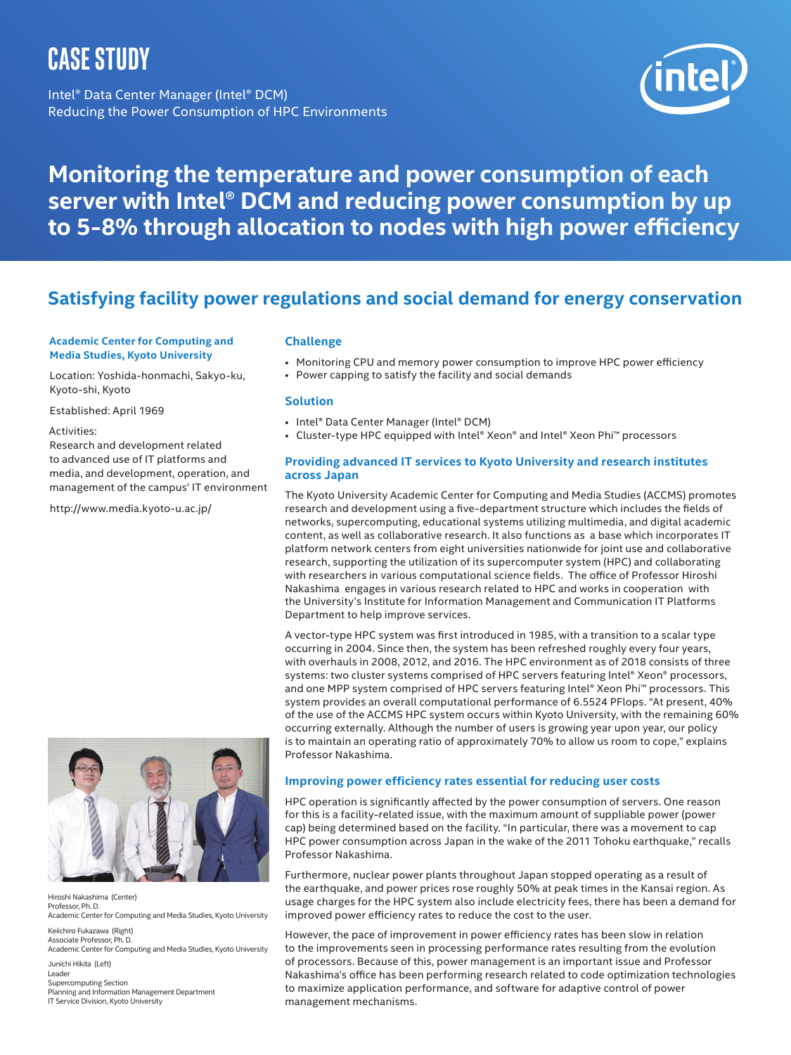# **Case Study**

Intel® Data Center Manager (Intel® DCM) Reducing the Power Consumption of HPC Environments



# **Monitoring the temperature and power consumption of each server with Intel® DCM and reducing power consumption by up to 5-8% through allocation to nodes with high power efficiency**

## **Satisfying facility power regulations and social demand for energy conservation**

#### **Academic Center for Computing and Media Studies, Kyoto University**

Location: Yoshida-honmachi, Sakyo-ku, Kyoto-shi, Kyoto

Established: April 1969

#### Activities:

Research and development related to advanced use of IT platforms and media, and development, operation, and management of the campus' IT environment

<http://www.media.kyoto-u.ac.jp/>

#### **Challenge**

- • Monitoring CPU and memory power consumption to improve HPC power efficiency
- Power capping to satisfy the facility and social demands

#### **Solution**

- Intel® Data Center Manager (Intel® DCM)
- Cluster-type HPC equipped with Intel® Xeon® and Intel® Xeon Phi™ processors

#### **Providing advanced IT services to Kyoto University and research institutes across Japan**

The Kyoto University Academic Center for Computing and Media Studies (ACCMS) promotes research and development using a five-department structure which includes the fields of networks, supercomputing, educational systems utilizing multimedia, and digital academic content, as well as collaborative research. It also functions as a base which incorporates IT platform network centers from eight universities nationwide for joint use and collaborative research, supporting the utilization of its supercomputer system (HPC) and collaborating with researchers in various computational science fields. The office of Professor Hiroshi Nakashima engages in various research related to HPC and works in cooperation with the University's Institute for Information Management and Communication IT Platforms Department to help improve services.

A vector-type HPC system was first introduced in 1985, with a transition to a scalar type occurring in 2004. Since then, the system has been refreshed roughly every four years, with overhauls in 2008, 2012, and 2016. The HPC environment as of 2018 consists of three systems: two cluster systems comprised of HPC servers featuring Intel® Xeon® processors, and one MPP system comprised of HPC servers featuring Intel® Xeon Phi™ processors. This system provides an overall computational performance of 6.5524 PFlops. "At present, 40% of the use of the ACCMS HPC system occurs within Kyoto University, with the remaining 60% occurring externally. Although the number of users is growing year upon year, our policy is to maintain an operating ratio of approximately 70% to allow us room to cope," explains Professor Nakashima.

#### **Improving power efficiency rates essential for reducing user costs**

HPC operation is significantly affected by the power consumption of servers. One reason for this is a facility-related issue, with the maximum amount of suppliable power (power cap) being determined based on the facility. "In particular, there was a movement to cap HPC power consumption across Japan in the wake of the 2011 Tohoku earthquake," recalls Professor Nakashima.

Furthermore, nuclear power plants throughout Japan stopped operating as a result of the earthquake, and power prices rose roughly 50% at peak times in the Kansai region. As usage charges for the HPC system also include electricity fees, there has been a demand for improved power efficiency rates to reduce the cost to the user.

However, the pace of improvement in power efficiency rates has been slow in relation to the improvements seen in processing performance rates resulting from the evolution of processors. Because of this, power management is an important issue and Professor Nakashima's office has been performing research related to code optimization technologies to maximize application performance, and software for adaptive control of power management mechanisms.



Hiroshi Nakashima (Center) Professor, Ph. D. Academic Center for Computing and Media Studies, Kyoto University

Keiichiro Fukazawa (Right) Associate Professor, Ph. D. Academic Center for Computing and Media Studies, Kyoto University

Junichi Hikita (Left) Leader Supercomputing Section Planning and Information Management Department IT Service Division, Kyoto University